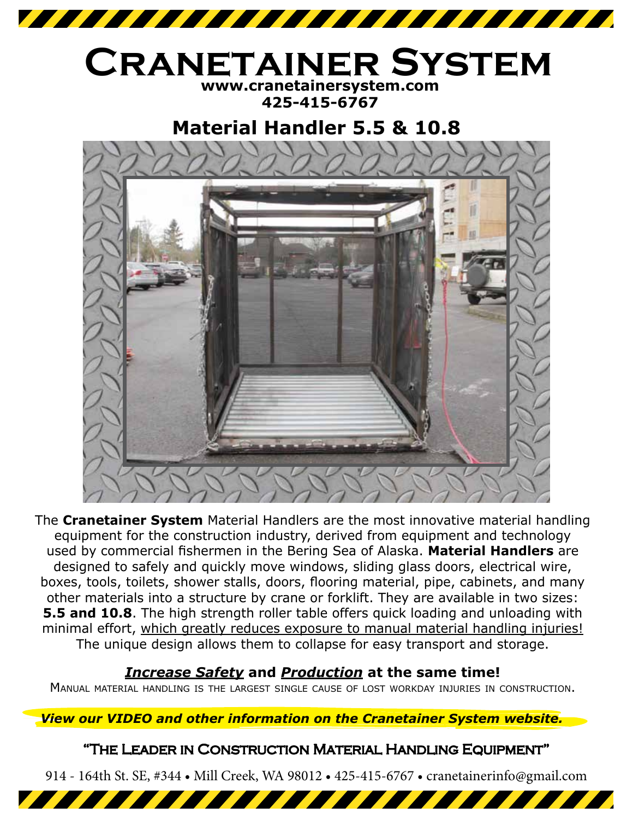

## **www.cranetainersystem.com Cranetainer System**

**425-415-6767**

## **Material Handler 5.5 & 10.8**



The **Cranetainer System** Material Handlers are the most innovative material handling equipment for the construction industry, derived from equipment and technology used by commercial fishermen in the Bering Sea of Alaska. **Material Handlers** are designed to safely and quickly move windows, sliding glass doors, electrical wire, boxes, tools, toilets, shower stalls, doors, flooring material, pipe, cabinets, and many other materials into a structure by crane or forklift. They are available in two sizes: **5.5 and 10.8**. The high strength roller table offers quick loading and unloading with minimal effort, which greatly reduces exposure to manual material handling injuries! The unique design allows them to collapse for easy transport and storage.

## *Increase Safety* **and** *Production* **at the same time!**

Manual material handling is the largest single cause of lost workday injuries in construction.

*View our VIDEO and other information on the Cranetainer System website.*

## "The Leader in Construction Material Handling Equipment"

914 - 164th St. SE, #344 • Mill Creek, WA 98012 • 425-415-6767 • cranetainerinfo@gmail.com

<u> 1777 - 1777 - 1777 - 1788 - 1788 - 1788 - 1788 - 1788 - 1788 - 1788 - 1788 - 1788 - 1788 - 1788 - 1788 - 178</u>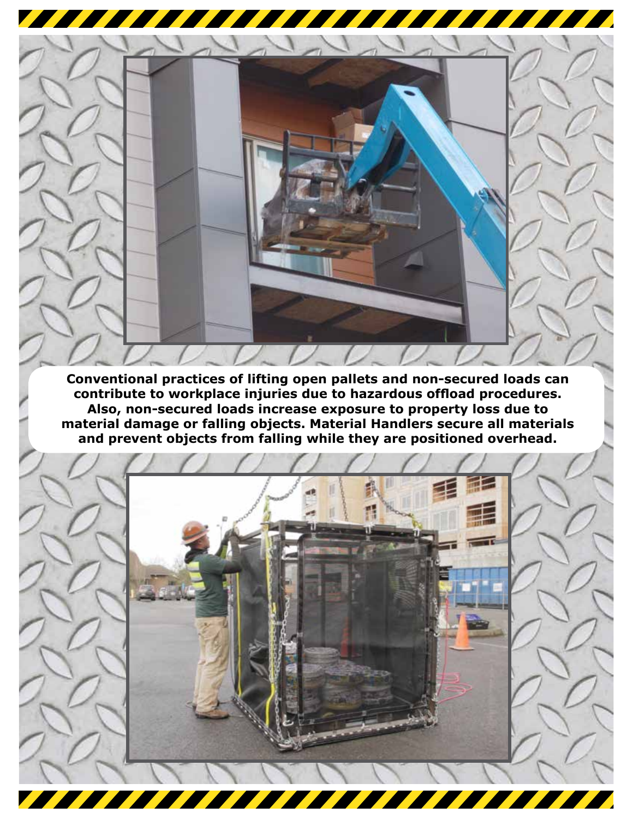<u> The Books of the Books of the Books of the Books of the Books of the Books of the Books of the Books of the Books of the Books of the Books of the Books of the Books of the Books of the Books of the Books of the Books of</u> 

**Conventional practices of lifting open pallets and non-secured loads can contribute to workplace injuries due to hazardous offload procedures. Also, non-secured loads increase exposure to property loss due to material damage or falling objects. Material Handlers secure all materials and prevent objects from falling while they are positioned overhead.**

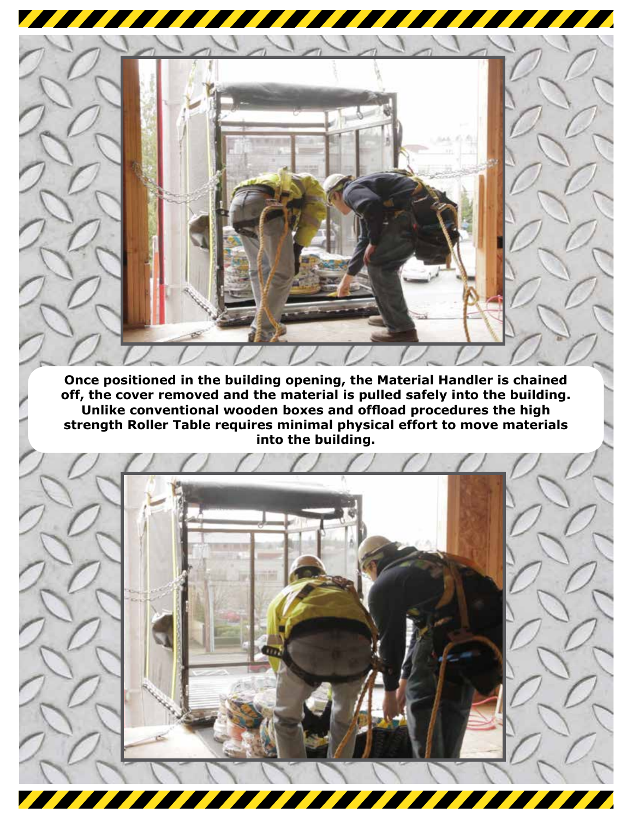

**Once positioned in the building opening, the Material Handler is chained off, the cover removed and the material is pulled safely into the building. Unlike conventional wooden boxes and offload procedures the high strength Roller Table requires minimal physical effort to move materials into the building.**

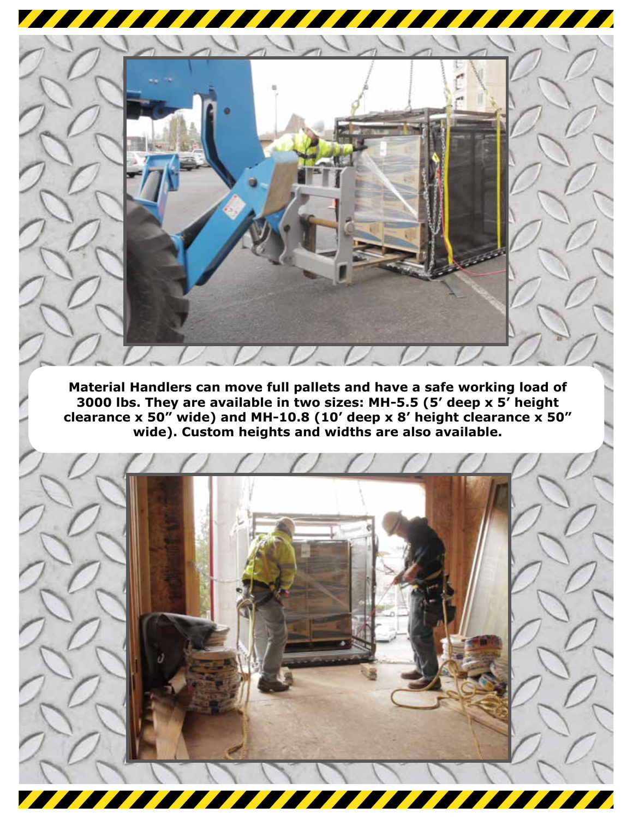

**Material Handlers can move full pallets and have a safe working load of 3000 lbs. They are available in two sizes: MH-5.5 (5' deep x 5' height clearance x 50" wide) and MH-10.8 (10' deep x 8' height clearance x 50" wide). Custom heights and widths are also available.**

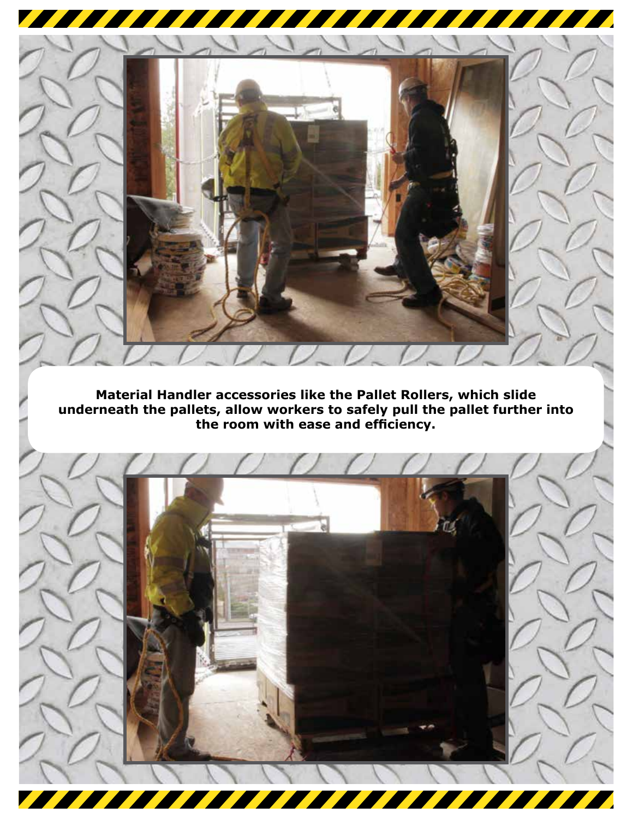

**Material Handler accessories like the Pallet Rollers, which slide underneath the pallets, allow workers to safely pull the pallet further into the room with ease and efficiency.**

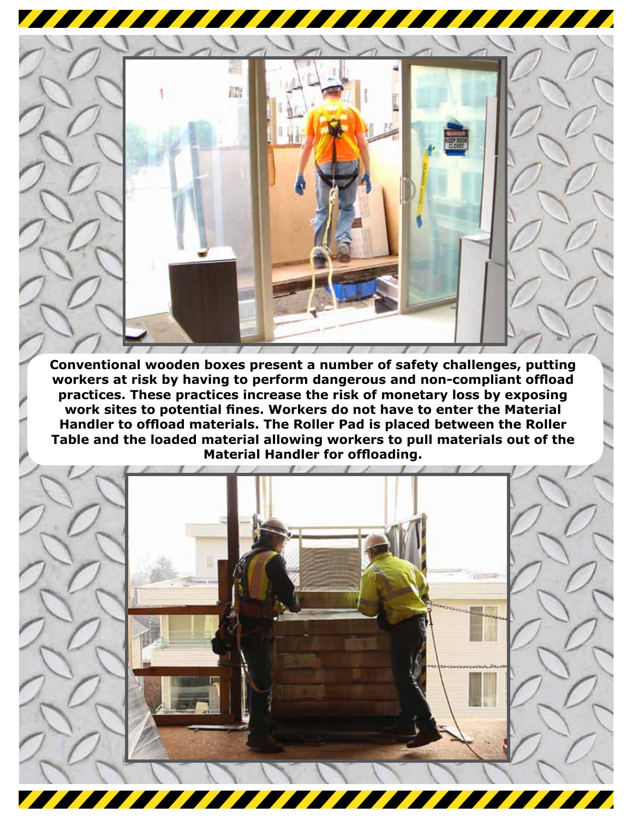

**Conventional wooden boxes present a number of safety challenges, putting workers at risk by having to perform dangerous and non-compliant offload practices. These practices increase the risk of monetary loss by exposing work sites to potential fines. Workers do not have to enter the Material Handler to offload materials. The Roller Pad is placed between the Roller Table and the loaded material allowing workers to pull materials out of the Material Handler for offloading.** 

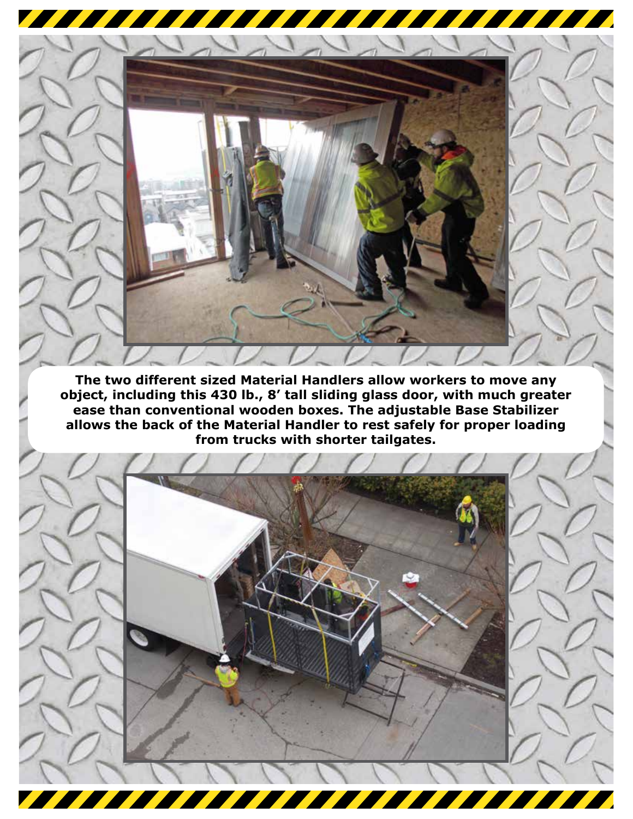

**The two different sized Material Handlers allow workers to move any object, including this 430 lb., 8' tall sliding glass door, with much greater ease than conventional wooden boxes. The adjustable Base Stabilizer allows the back of the Material Handler to rest safely for proper loading from trucks with shorter tailgates.**

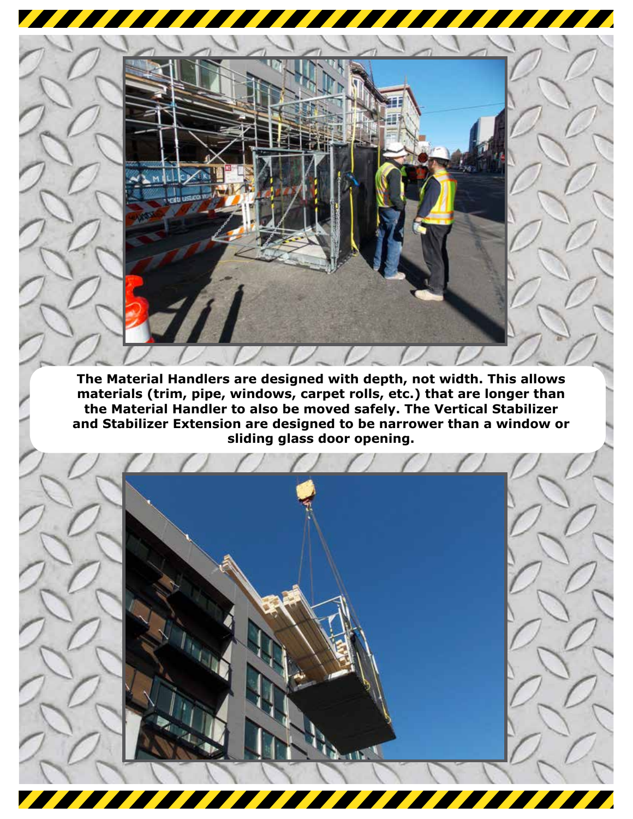

 $\sqrt{2}$ 

<u> The Community of the Community of the Community of the Community of the Community of the Community of the Community of the Community of the Community of the Community of the Community of the Community of the Community of</u>

<u> The Books of the Books of the Books of the Books of the Books of the Books of the Books of the Books of the Books of the Books of the Books of the Books of the Books of the Books of the Books of the Books of the Books of</u>



**Alta**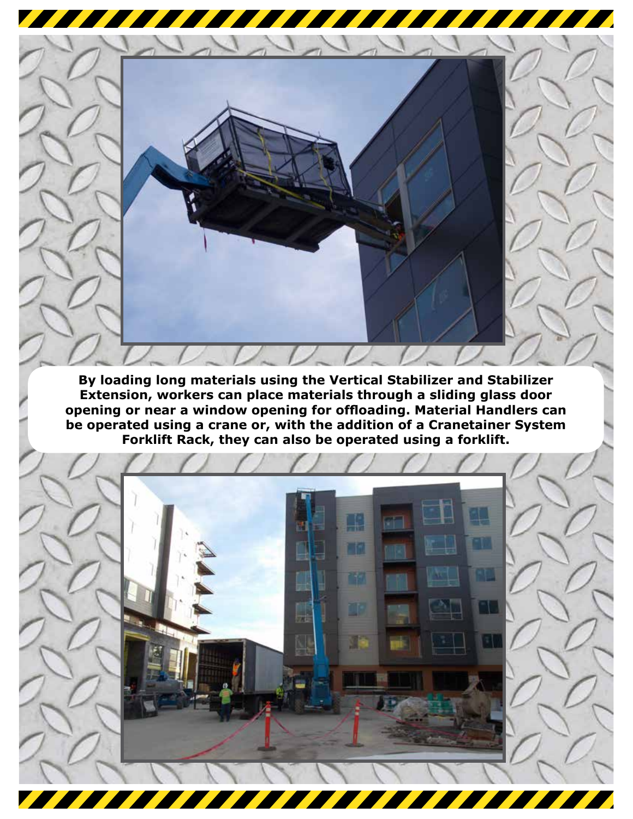

**By loading long materials using the Vertical Stabilizer and Stabilizer Extension, workers can place materials through a sliding glass door opening or near a window opening for offloading. Material Handlers can be operated using a crane or, with the addition of a Cranetainer System Forklift Rack, they can also be operated using a forklift.** 

L.

FM.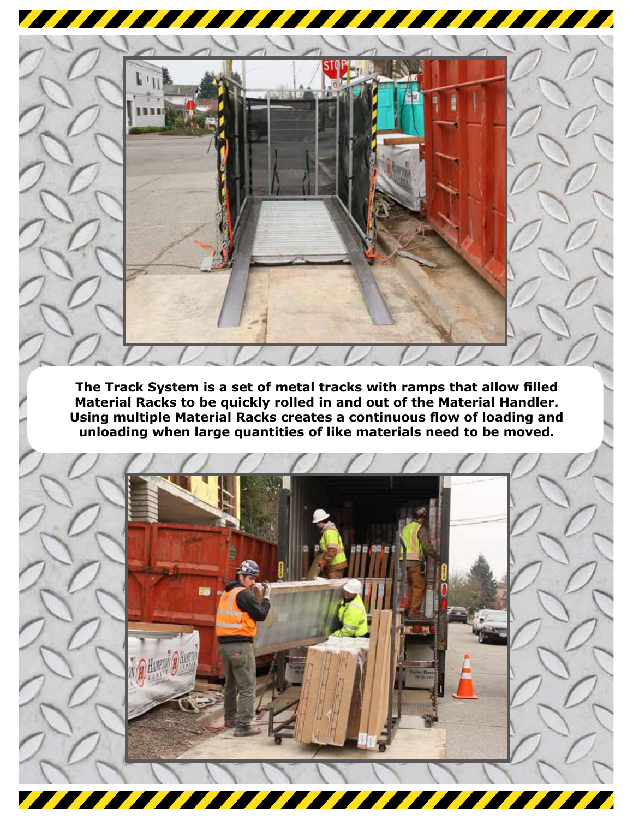

**The Track System is a set of metal tracks with ramps that allow filled Material Racks to be quickly rolled in and out of the Material Handler. Using multiple Material Racks creates a continuous flow of loading and unloading when large quantities of like materials need to be moved.**

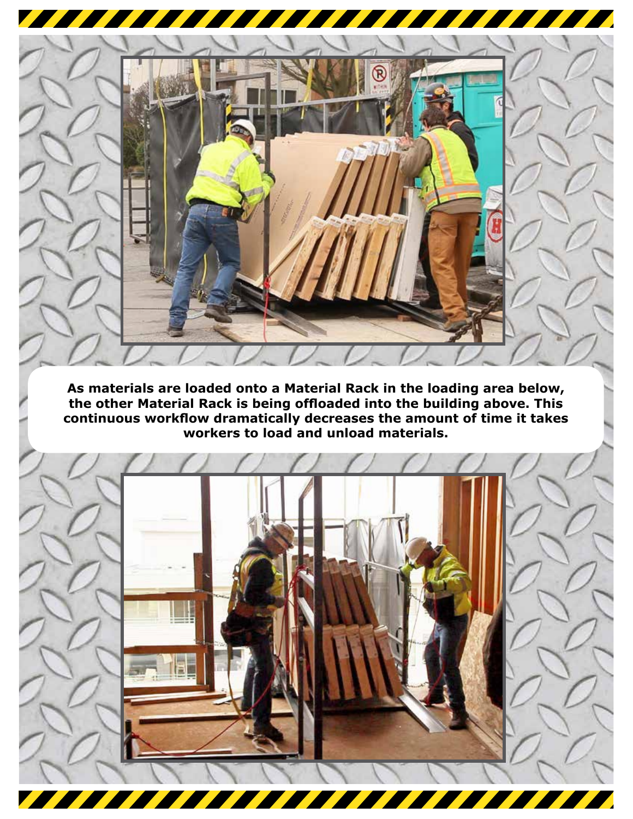

**As materials are loaded onto a Material Rack in the loading area below, the other Material Rack is being offloaded into the building above. This continuous workflow dramatically decreases the amount of time it takes workers to load and unload materials.**